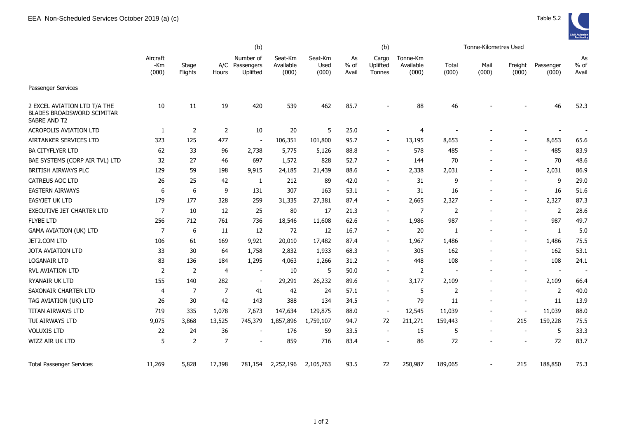

|                                                                                   | (b)                      |                  |                |                                         |                               |                          |                       | (b)                         |                                |                | Tonne-Kilometres Used    |                          |                    |                       |
|-----------------------------------------------------------------------------------|--------------------------|------------------|----------------|-----------------------------------------|-------------------------------|--------------------------|-----------------------|-----------------------------|--------------------------------|----------------|--------------------------|--------------------------|--------------------|-----------------------|
|                                                                                   | Aircraft<br>-Km<br>(000) | Stage<br>Flights | Hours          | Number of<br>A/C Passengers<br>Uplifted | Seat-Km<br>Available<br>(000) | Seat-Km<br>Used<br>(000) | As<br>$%$ of<br>Avail | Cargo<br>Uplifted<br>Tonnes | Tonne-Km<br>Available<br>(000) | Total<br>(000) | Mail<br>(000)            | Freight<br>(000)         | Passenger<br>(000) | As<br>$%$ of<br>Avail |
| <b>Passenger Services</b>                                                         |                          |                  |                |                                         |                               |                          |                       |                             |                                |                |                          |                          |                    |                       |
| 2 EXCEL AVIATION LTD T/A THE<br><b>BLADES BROADSWORD SCIMITAR</b><br>SABRE AND T2 | 10                       | 11               | 19             | 420                                     | 539                           | 462                      | 85.7                  |                             | 88                             | 46             |                          |                          | 46                 | 52.3                  |
| <b>ACROPOLIS AVIATION LTD</b>                                                     | 1                        | 2                | $\overline{2}$ | 10                                      | 20                            | 5                        | 25.0                  |                             | 4                              |                |                          |                          |                    |                       |
| AIRTANKER SERVICES LTD                                                            | 323                      | 125              | 477            | $\overline{a}$                          | 106,351                       | 101,800                  | 95.7                  |                             | 13,195                         | 8,653          |                          |                          | 8,653              | 65.6                  |
| <b>BA CITYFLYER LTD</b>                                                           | 62                       | 33               | 96             | 2,738                                   | 5,775                         | 5,126                    | 88.8                  |                             | 578                            | 485            |                          |                          | 485                | 83.9                  |
| BAE SYSTEMS (CORP AIR TVL) LTD                                                    | 32                       | 27               | 46             | 697                                     | 1,572                         | 828                      | 52.7                  | $\overline{\phantom{a}}$    | 144                            | 70             |                          |                          | 70                 | 48.6                  |
| <b>BRITISH AIRWAYS PLC</b>                                                        | 129                      | 59               | 198            | 9,915                                   | 24,185                        | 21,439                   | 88.6                  | $\overline{\phantom{a}}$    | 2,338                          | 2,031          |                          |                          | 2,031              | 86.9                  |
| <b>CATREUS AOC LTD</b>                                                            | 26                       | 25               | 42             | 1                                       | 212                           | 89                       | 42.0                  | $\overline{\phantom{a}}$    | 31                             | 9              |                          | $\overline{\phantom{a}}$ | 9                  | 29.0                  |
| <b>EASTERN AIRWAYS</b>                                                            | 6                        | 6                | 9              | 131                                     | 307                           | 163                      | 53.1                  |                             | 31                             | 16             |                          | $\blacksquare$           | 16                 | 51.6                  |
| EASYJET UK LTD                                                                    | 179                      | 177              | 328            | 259                                     | 31,335                        | 27,381                   | 87.4                  |                             | 2,665                          | 2,327          |                          |                          | 2,327              | 87.3                  |
| EXECUTIVE JET CHARTER LTD                                                         | 7                        | 10               | 12             | 25                                      | 80                            | 17                       | 21.3                  | $\overline{\phantom{a}}$    | 7                              | $\overline{2}$ |                          |                          | 2                  | 28.6                  |
| <b>FLYBE LTD</b>                                                                  | 256                      | 712              | 761            | 736                                     | 18,546                        | 11,608                   | 62.6                  | $\overline{\phantom{a}}$    | 1,986                          | 987            |                          | $\overline{\phantom{a}}$ | 987                | 49.7                  |
| <b>GAMA AVIATION (UK) LTD</b>                                                     | 7                        | 6                | 11             | 12                                      | 72                            | 12                       | 16.7                  | $\overline{\phantom{a}}$    | 20                             | -1             |                          |                          | 1                  | 5.0                   |
| JET2.COM LTD                                                                      | 106                      | 61               | 169            | 9,921                                   | 20,010                        | 17,482                   | 87.4                  | $\blacksquare$              | 1,967                          | 1,486          |                          | $\overline{\phantom{a}}$ | 1,486              | 75.5                  |
| <b>JOTA AVIATION LTD</b>                                                          | 33                       | 30               | 64             | 1,758                                   | 2,832                         | 1,933                    | 68.3                  |                             | 305                            | 162            |                          |                          | 162                | 53.1                  |
| LOGANAIR LTD                                                                      | 83                       | 136              | 184            | 1,295                                   | 4,063                         | 1,266                    | 31.2                  | $\overline{\phantom{a}}$    | 448                            | 108            |                          |                          | 108                | 24.1                  |
| <b>RVL AVIATION LTD</b>                                                           | 2                        | 2                | 4              | $\overline{\phantom{a}}$                | 10                            | 5                        | 50.0                  | $\overline{\phantom{a}}$    | 2                              |                |                          | $\overline{\phantom{a}}$ | $\sim$             | $\sim$                |
| <b>RYANAIR UK LTD</b>                                                             | 155                      | 140              | 282            | $\blacksquare$                          | 29,291                        | 26,232                   | 89.6                  | $\overline{\phantom{a}}$    | 3,177                          | 2,109          |                          |                          | 2,109              | 66.4                  |
| SAXONAIR CHARTER LTD                                                              | 4                        | $\overline{7}$   | 7              | 41                                      | 42                            | 24                       | 57.1                  |                             | 5                              | 2              |                          | $\overline{\phantom{a}}$ | 2                  | 40.0                  |
| TAG AVIATION (UK) LTD                                                             | 26                       | 30               | 42             | 143                                     | 388                           | 134                      | 34.5                  |                             | 79                             | 11             |                          |                          | 11                 | 13.9                  |
| TITAN AIRWAYS LTD                                                                 | 719                      | 335              | 1,078          | 7,673                                   | 147,634                       | 129,875                  | 88.0                  | $\blacksquare$              | 12,545                         | 11,039         |                          |                          | 11,039             | 88.0                  |
| TUI AIRWAYS LTD                                                                   | 9,075                    | 3,868            | 13,525         | 745,379                                 | 1,857,896                     | 1,759,107                | 94.7                  | 72                          | 211,271                        | 159,443        | $\overline{\phantom{a}}$ | 215                      | 159,228            | 75.5                  |
| <b>VOLUXIS LTD</b>                                                                | 22                       | 24               | 36             |                                         | 176                           | 59                       | 33.5                  |                             | 15                             | 5              |                          |                          | 5                  | 33.3                  |
| WIZZ AIR UK LTD                                                                   | 5                        | $\overline{2}$   | 7              |                                         | 859                           | 716                      | 83.4                  |                             | 86                             | 72             |                          |                          | 72                 | 83.7                  |
| <b>Total Passenger Services</b>                                                   | 11,269                   | 5,828            | 17,398         | 781,154                                 | 2,252,196                     | 2,105,763                | 93.5                  | 72                          | 250,987                        | 189,065        |                          | 215                      | 188,850            | 75.3                  |